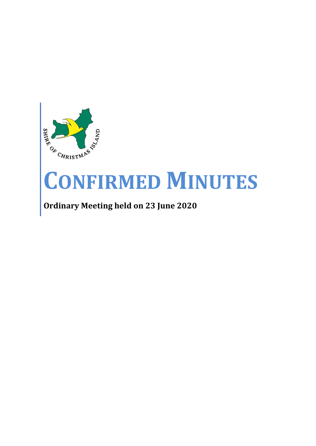

# **CONFIRMED MINUTES**

**Ordinary Meeting held on 23 June 2020**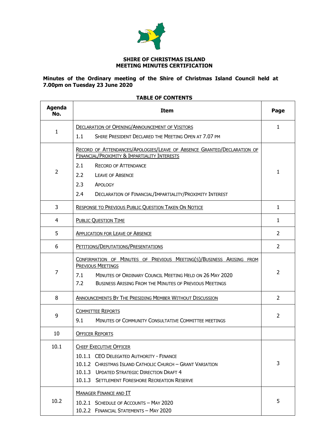

#### **SHIRE OF CHRISTMAS ISLAND MEETING MINUTES CERTIFICATION**

#### **Minutes of the Ordinary meeting of the Shire of Christmas Island Council held at 7.00pm on Tuesday 23 June 2020**

# **TABLE OF CONTENTS**

| <b>Agenda</b><br>No. | Item                                                                                                                                                                                                                                       | Page           |
|----------------------|--------------------------------------------------------------------------------------------------------------------------------------------------------------------------------------------------------------------------------------------|----------------|
|                      | <b>DECLARATION OF OPENING/ANNOUNCEMENT OF VISITORS</b>                                                                                                                                                                                     | $\mathbf{1}$   |
| 1                    | 1.1<br>SHIRE PRESIDENT DECLARED THE MEETING OPEN AT 7.07 PM                                                                                                                                                                                |                |
| $\overline{2}$       | RECORD OF ATTENDANCES/APOLOGIES/LEAVE OF ABSENCE GRANTED/DECLARATION OF<br><b>FINANCIAL/PROXIMITY &amp; IMPARTIALITY INTERESTS</b><br>2.1<br><b>RECORD OF ATTENDANCE</b><br>2.2<br><b>LEAVE OF ABSENCE</b><br>2.3<br>APOLOGY               | 1              |
|                      | 2.4<br>DECLARATION OF FINANCIAL/IMPARTIALITY/PROXIMITY INTEREST                                                                                                                                                                            |                |
| 3                    | <b>RESPONSE TO PREVIOUS PUBLIC QUESTION TAKEN ON NOTICE</b>                                                                                                                                                                                | $\mathbf{1}$   |
| 4                    | <b>PUBLIC QUESTION TIME</b>                                                                                                                                                                                                                | $\mathbf{1}$   |
| 5                    | <b>APPLICATION FOR LEAVE OF ABSENCE</b>                                                                                                                                                                                                    | $\overline{2}$ |
| 6                    | PETITIONS/DEPUTATIONS/PRESENTATIONS                                                                                                                                                                                                        | $\overline{2}$ |
| $\overline{7}$       | CONFIRMATION OF MINUTES OF PREVIOUS MEETING(S)/BUSINESS ARISING FROM<br><b>PREVIOUS MEETINGS</b><br>MINUTES OF ORDINARY COUNCIL MEETING HELD ON 26 MAY 2020<br>7.1<br>7.2<br><b>BUSINESS ARISING FROM THE MINUTES OF PREVIOUS MEETINGS</b> | $\overline{2}$ |
| 8                    | <b>ANNOUNCEMENTS BY THE PRESIDING MEMBER WITHOUT DISCUSSION</b>                                                                                                                                                                            | 2              |
| 9                    | <b>COMMITTEE REPORTS</b><br>9.1<br>MINUTES OF COMMUNITY CONSULTATIVE COMMITTEE MEETINGS                                                                                                                                                    | 2              |
| 10                   | <b>OFFICER REPORTS</b>                                                                                                                                                                                                                     |                |
| 10.1                 | <b>CHIEF EXECUTIVE OFFICER</b><br>10.1.1 CEO DELEGATED AUTHORITY - FINANCE<br>10.1.2 CHRISTMAS ISLAND CATHOLIC CHURCH - GRANT VARIATION<br>10.1.3 UPDATED STRATEGIC DIRECTION DRAFT 4<br>10.1.3 SETTLEMENT FORESHORE RECREATION RESERVE    | 3              |
| 10.2                 | <b>MANAGER FINANCE AND IT</b><br>10.2.1 SCHEDULE OF ACCOUNTS - MAY 2020<br>10.2.2 FINANCIAL STATEMENTS - MAY 2020                                                                                                                          | 5              |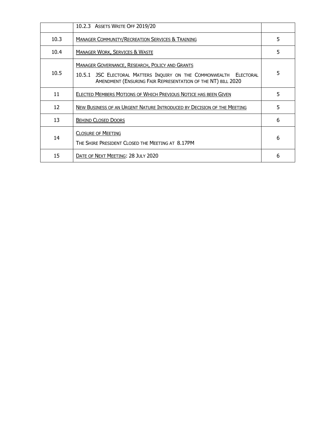|      | 10.2.3 ASSETS WRITE OFF 2019/20                                                                                                                                                              |   |
|------|----------------------------------------------------------------------------------------------------------------------------------------------------------------------------------------------|---|
| 10.3 | <b>MANAGER COMMUNITY/RECREATION SERVICES &amp; TRAINING</b>                                                                                                                                  | 5 |
| 10.4 | <b>MANAGER WORK, SERVICES &amp; WASTE</b>                                                                                                                                                    | 5 |
| 10.5 | <b>MANAGER GOVERNANCE, RESEARCH, POLICY AND GRANTS</b><br>10.5.1 JSC ELECTORAL MATTERS INQUIRY ON THE COMMONWEALTH ELECTORAL<br>AMENDMENT (ENSURING FAIR REPRESENTATION OF THE NT) BILL 2020 | 5 |
| 11   | ELECTED MEMBERS MOTIONS OF WHICH PREVIOUS NOTICE HAS BEEN GIVEN                                                                                                                              | 5 |
| 12   | NEW BUSINESS OF AN URGENT NATURE INTRODUCED BY DECISION OF THE MEETING                                                                                                                       | 5 |
| 13   | <b>BEHIND CLOSED DOORS</b>                                                                                                                                                                   | 6 |
| 14   | <b>CLOSURE OF MEETING</b><br>THE SHIRE PRESIDENT CLOSED THE MEETING AT 8.17PM                                                                                                                | 6 |
| 15   | DATE OF NEXT MEETING: 28 JULY 2020                                                                                                                                                           | 6 |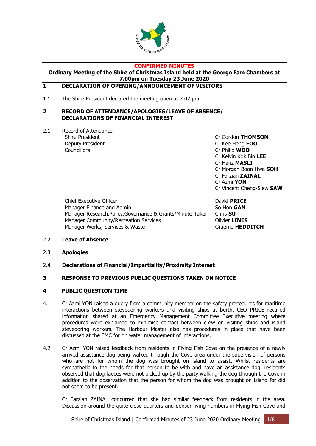

#### **CONFIRMED MINUTES**

#### **Ordinary Meeting of the Shire of Christmas Island held at the George Fam Chambers at 7.00pm on Tuesday 23 June 2020**

## <span id="page-3-0"></span>**1 DECLARATION OF OPENING/ANNOUNCEMENT OF VISITORS**

1.1 The Shire President declared the meeting open at 7.07 pm.

#### <span id="page-3-1"></span>**2 RECORD OF ATTENDANCE/APOLOGIES/LEAVE OF ABSENCE/ DECLARATIONS OF FINANCIAL INTEREST**

2.1 Record of Attendance Deputy President Cr Kee Heng **FOO** Councillors Cr Philip **WOO**

Shire President **Canadian Critical Critical Critical Critical Critical Critical Critical Critical Critical Critical Orientation Critical Critical Critical Critical Critical Critical Orientation Critical Critical Critical C** Cr Kelvin Kok Bin **LEE** Cr Hafiz **MASLI** Cr Morgan Boon Hwa **SOH** Cr Farzian **ZAINAL** Cr Azmi **YON** Cr Vincent Cheng-Siew **SAW**

Chief Executive Officer David **PRICE** Manager Finance and Admin So Hon **GAN** Manager Research,Policy,Governance & Grants/Minute Taker Chris **SU** Manager Community/Recreation Services **Community** Olivier **LINES** Manager Works, Services & Waste Graeme **HEDDITCH** 

- 2.2 **Leave of Absence**
- 2.3 **Apologies**
- 2.4 **Declarations of Financial/Impartiality/Proximity Interest**

#### <span id="page-3-2"></span>**3 RESPONSE TO PREVIOUS PUBLIC QUESTIONS TAKEN ON NOTICE**

#### <span id="page-3-3"></span>**4 PUBLIC QUESTION TIME**

- 4.1 Cr Azmi YON raised a query from a community member on the safety procedures for maritime interactions between stevedoring workers and visiting ships at berth. CEO PRICE recalled information shared at an Emergency Management Committee Executive meeting where procedures were explained to minimise contact between crew on visiting ships and island stevedoring workers. The Harbour Master also has procedures in place that have been discussed at the EMC for on water management of interactions.
- 4.2 Cr Azmi YON raised feedback from residents in Flying Fish Cove on the presence of a newly arrived assistance dog being walked through the Cove area under the supervision of persons who are not for whom the dog was brought on island to assist. Whilst residents are sympathetic to the needs for that person to be with and have an assistance dog, residents observed that dog faeces were not picked up by the party walking the dog through the Cove in addition to the observation that the person for whom the dog was brought on island for did not seem to be present.

Cr Farzian ZAINAL concurred that she had similar feedback from residents in the area. Discussion around the quite close quarters and denser living numbers in Flying Fish Cove and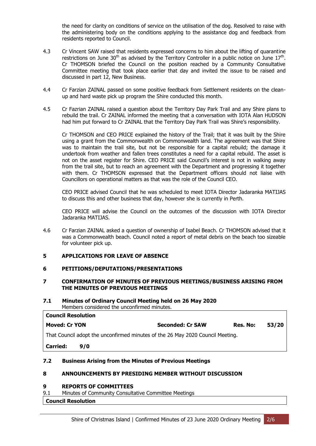the need for clarity on conditions of service on the utilisation of the dog. Resolved to raise with the administering body on the conditions applying to the assistance dog and feedback from residents reported to Council.

- 4.3 Cr Vincent SAW raised that residents expressed concerns to him about the lifting of quarantine restrictions on June 30<sup>th</sup> as advised by the Territory Controller in a public notice on June  $17<sup>th</sup>$ . Cr THOMSON briefed the Council on the position reached by a Community Consultative Committee meeting that took place earlier that day and invited the issue to be raised and discussed in part 12, New Business.
- 4.4 Cr Farzian ZAINAL passed on some positive feedback from Settlement residents on the cleanup and hard waste pick up program the Shire conducted this month.
- 4.5 Cr Fazrian ZAINAL raised a question about the Territory Day Park Trail and any Shire plans to rebuild the trail. Cr ZAINAL informed the meeting that a conversation with IOTA Alan HUDSON had him put forward to Cr ZAINAL that the Territory Day Park Trail was Shire's responsibility.

Cr THOMSON and CEO PRICE explained the history of the Trail; that it was built by the Shire using a grant from the Commonwealth on Commonwealth land. The agreement was that Shire was to maintain the trail site, but not be responsible for a capital rebuild; the damage it undertook from weather and fallen trees constitutes a need for a capital rebuild. The asset is not on the asset register for Shire. CEO PRICE said Council's interest is not in walking away from the trail site, but to reach an agreement with the Department and progressing it together with them. Cr THOMSON expressed that the Department officers should not liaise with Councillors on operational matters as that was the role of the Council CEO.

CEO PRICE advised Council that he was scheduled to meet IOTA Director Jadaranka MATIJAS to discuss this and other business that day, however she is currently in Perth.

CEO PRICE will advise the Council on the outcomes of the discussion with IOTA Director Jadaranka MATIJAS.

4.6 Cr Farzian ZAINAL asked a question of ownership of Isabel Beach. Cr THOMSON advised that it was a Commonwealth beach. Council noted a report of metal debris on the beach too sizeable for volunteer pick up.

#### <span id="page-4-0"></span>**5 APPLICATIONS FOR LEAVE OF ABSENCE**

#### <span id="page-4-1"></span>**6 PETITIONS/DEPUTATIONS/PRESENTATIONS**

#### <span id="page-4-2"></span>**7 CONFIRMATION OF MINUTES OF PREVIOUS MEETINGS/BUSINESS ARISING FROM THE MINUTES OF PREVIOUS MEETINGS**

#### **7.1 Minutes of Ordinary Council Meeting held on 26 May 2020** Members considered the unconfirmed minutes.

| <b>Council Resolution</b>                                                      |     |                         |          |       |
|--------------------------------------------------------------------------------|-----|-------------------------|----------|-------|
| <b>Moved: Cr YON</b>                                                           |     | <b>Seconded: Cr SAW</b> | Res. No: | 53/20 |
| That Council adopt the unconfirmed minutes of the 26 May 2020 Council Meeting. |     |                         |          |       |
| <b>Carried:</b>                                                                | 9/0 |                         |          |       |

#### **7.2 Business Arising from the Minutes of Previous Meetings**

#### <span id="page-4-3"></span>**8 ANNOUNCEMENTS BY PRESIDING MEMBER WITHOUT DISCUSSION**

#### <span id="page-4-4"></span>**9 REPORTS OF COMMITTEES**

9.1 Minutes of Community Consultative Committee Meetings

### **Council Resolution**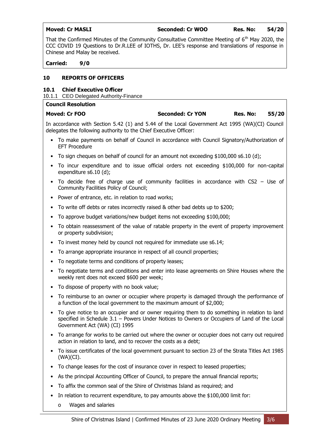**Moved: Cr MASLI Seconded: Cr WOO Res. No: 54/20**

That the Confirmed Minutes of the Community Consultative Committee Meeting of  $6<sup>th</sup>$  May 2020, the CCC COVID 19 Questions to Dr.R.LEE of IOTHS, Dr. LEE's response and translations of response in Chinese and Malay be received.

**Carried: 9/0**

#### **10 REPORTS OF OFFICERS**

#### <span id="page-5-0"></span>**10.1 Chief Executive Officer**

10.1.1 CEO Delegated Authority-Finance

| <b>Council Resolution</b> |                         |          |       |
|---------------------------|-------------------------|----------|-------|
| Moved: Cr FOO             | <b>Seconded: Cr YON</b> | Res. No: | 55/20 |

In accordance with Section 5.42 (1) and 5.44 of the Local Government Act 1995 (WA)(CI) Council delegates the following authority to the Chief Executive Officer:

- To make payments on behalf of Council in accordance with Council Signatory/Authorization of EFT Procedure
- To sign cheques on behalf of council for an amount not exceeding \$100,000 s6.10 (d);
- To incur expenditure and to issue official orders not exceeding \$100,000 for non-capital expenditure s6.10 (d);
- To decide free of charge use of community facilities in accordance with CS2 Use of Community Facilities Policy of Council;
- Power of entrance, etc. in relation to road works;
- To write off debts or rates incorrectly raised & other bad debts up to \$200;
- To approve budget variations/new budget items not exceeding \$100,000;
- To obtain reassessment of the value of ratable property in the event of property improvement or property subdivision;
- To invest money held by council not required for immediate use s6.14;
- To arrange appropriate insurance in respect of all council properties;
- To negotiate terms and conditions of property leases;
- To negotiate terms and conditions and enter into lease agreements on Shire Houses where the weekly rent does not exceed \$600 per week;
- To dispose of property with no book value;
- To reimburse to an owner or occupier where property is damaged through the performance of a function of the local government to the maximum amount of \$2,000;
- To give notice to an occupier and or owner requiring them to do something in relation to land specified in Schedule 3.1 – Powers Under Notices to Owners or Occupiers of Land of the Local Government Act (WA) (CI) 1995
- To arrange for works to be carried out where the owner or occupier does not carry out required action in relation to land, and to recover the costs as a debt;
- To issue certificates of the local government pursuant to section 23 of the Strata Titles Act 1985 (WA)(CI).
- To change leases for the cost of insurance cover in respect to leased properties;
- As the principal Accounting Officer of Council, to prepare the annual financial reports;
- To affix the common seal of the Shire of Christmas Island as required; and
- In relation to recurrent expenditure, to pay amounts above the \$100,000 limit for:
	- o Wages and salaries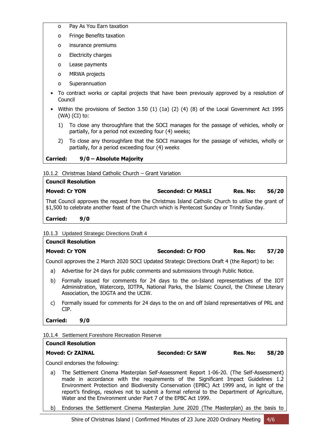- o Pay As You Earn taxation
- o Fringe Benefits taxation
- o insurance premiums
- o Electricity charges
- o Lease payments
- o MRWA projects
- o Superannuation
- To contract works or capital projects that have been previously approved by a resolution of Council
- Within the provisions of Section 3.50 (1) (1a) (2) (4) (8) of the Local Government Act 1995 (WA) (CI) to:
	- 1) To close any thoroughfare that the SOCI manages for the passage of vehicles, wholly or partially, for a period not exceeding four (4) weeks;
	- 2) To close any thoroughfare that the SOCI manages for the passage of vehicles, wholly or partially, for a period exceeding four (4) weeks

#### **Carried: 9/0 – Absolute Majority**

10.1.2 Christmas Island Catholic Church – Grant Variation

| <b>Council Resolution</b>                                                                                                                                                                            |                           |          |       |
|------------------------------------------------------------------------------------------------------------------------------------------------------------------------------------------------------|---------------------------|----------|-------|
| <b>Moved: Cr YON</b>                                                                                                                                                                                 | <b>Seconded: Cr MASLI</b> | Res. No: | 56/20 |
| That Council approves the request from the Christmas Island Catholic Church to utilize the grant of<br>\$1,500 to celebrate another feast of the Church which is Pentecost Sunday or Trinity Sunday. |                           |          |       |

**Carried: 9/0**

**Council Resolution**

10.1.3 Updated Strategic Directions Draft 4

# **Moved: Cr YON Seconded: Cr FOO Res. No: 57/20**

Council approves the 2 March 2020 SOCI Updated Strategic Directions Draft 4 (the Report) to be:

- a) Advertise for 24 days for public comments and submissions through Public Notice.
- b) Formally issued for comments for 24 days to the on-Island representatives of the IOT Administration, Watercorp, IOTPA, National Parks, the Islamic Council, the Chinese Literary Association, the IOGTA and the UCIW.
- c) Formally issued for comments for 24 days to the on and off Island representatives of PRL and CIP.

#### **Carried: 9/0**

|    | 0.1.4 Settlement Foreshore Recreation Reserve                                                                                                                               |                         |          |       |
|----|-----------------------------------------------------------------------------------------------------------------------------------------------------------------------------|-------------------------|----------|-------|
|    | <b>Council Resolution</b>                                                                                                                                                   |                         |          |       |
|    | <b>Moved: Cr ZAINAL</b>                                                                                                                                                     | <b>Seconded: Cr SAW</b> | Res. No: | 58/20 |
|    | Council endorses the following:                                                                                                                                             |                         |          |       |
| a) | The Settlement Cinema Masterplan Self-Assessment Report 1-06-20. (The Self-Assessment)<br>made in accordance with the requirements of the Significant Impact Guidelines 1.2 |                         |          |       |

- made in accordance with the requirements of the Significant Impact Guidelines 1.2 Environment Protection and Biodiversity Conservation (EPBC) Act 1999 and, in light of the report's findings, resolves not to submit a formal referral to the Department of Agriculture, Water and the Environment under Part 7 of the EPBC Act 1999.
- b) Endorses the Settlement Cinema Masterplan June 2020 (The Masterplan) as the basis to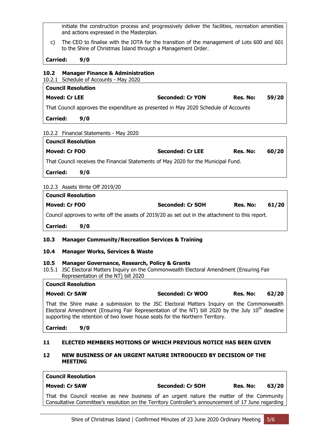initiate the construction process and progressively deliver the facilities, recreation amenities and actions expressed in the Masterplan.

c) The CEO to finalise with the IOTA for the transition of the management of Lots 600 and 601 to the Shire of Christmas Island through a Management Order.

**Carried: 9/0**

# <span id="page-7-0"></span>**10.2 Manager Finance & Administration**

10.2.1 Schedule of Accounts - May 2020

| <b>Council Resolution</b>                                                           |                         |          |       |
|-------------------------------------------------------------------------------------|-------------------------|----------|-------|
| <b>Moved: Cr LEE</b>                                                                | <b>Seconded: Cr YON</b> | Res. No: | 59/20 |
| That Council approves the expenditure as presented in May 2020 Schedule of Accounts |                         |          |       |
| Carried:<br>9/0                                                                     |                         |          |       |
| 10.2.2 Financial Statements - May 2020                                              |                         |          |       |

| <b>Council Resolution</b>                                                          |     |                         |          |       |
|------------------------------------------------------------------------------------|-----|-------------------------|----------|-------|
| Moved: Cr FOO                                                                      |     | <b>Seconded: Cr LEE</b> | Res. No: | 60/20 |
| That Council receives the Financial Statements of May 2020 for the Municipal Fund. |     |                         |          |       |
| Carried:                                                                           | 9/0 |                         |          |       |

#### 10.2.3 Assets Write Off 2019/20

| <b>Council Resolution</b> |                                                                                                  |                         |          |       |
|---------------------------|--------------------------------------------------------------------------------------------------|-------------------------|----------|-------|
| Moved: Cr FOO             |                                                                                                  | <b>Seconded: Cr SOH</b> | Res. No: | 61/20 |
|                           | Council approves to write off the assets of 2019/20 as set out in the attachment to this report. |                         |          |       |
| <b>Carried:</b>           | 9/0                                                                                              |                         |          |       |

#### <span id="page-7-1"></span>**10.3 Manager Community/Recreation Services & Training**

#### <span id="page-7-2"></span>**10.4 Manager Works, Services & Waste**

#### <span id="page-7-3"></span>**10.5 Manager Governance, Research, Policy & Grants**

10.5.1 JSC Electoral Matters Inquiry on the Commonwealth Electoral Amendment (Ensuring Fair Representation of the NT) bill 2020

# **Council Resolution Moved: Cr SAW Seconded: Cr WOO Res. No: 62/20**

That the Shire make a submission to the JSC Electoral Matters Inquiry on the Commonwealth Electoral Amendment (Ensuring Fair Representation of the NT) bill 2020 by the July  $10<sup>th</sup>$  deadline supporting the retention of two lower house seats for the Northern Territory.

#### **Carried: 9/0**

#### <span id="page-7-4"></span>**11 ELECTED MEMBERS MOTIONS OF WHICH PREVIOUS NOTICE HAS BEEN GIVEN**

#### <span id="page-7-5"></span>**12 NEW BUSINESS OF AN URGENT NATURE INTRODUCED BY DECISION OF THE MEETING**

| <b>Council Resolution</b>                                                                                                                                                                       |                  |          |       |
|-------------------------------------------------------------------------------------------------------------------------------------------------------------------------------------------------|------------------|----------|-------|
| Moved: Cr SAW                                                                                                                                                                                   | Seconded: Cr SOH | Res. No: | 63/20 |
| That the Council receive as new business of an urgent nature the matter of the Community<br>Consultative Committee's resolution on the Territory Controller's announcement of 17 June regarding |                  |          |       |